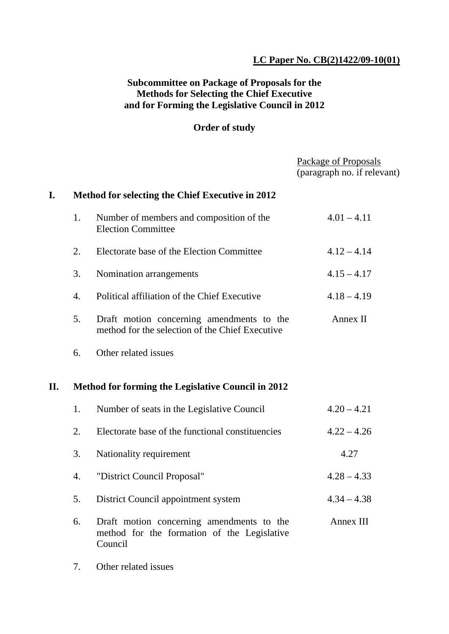## **LC Paper No. CB(2)1422/09-10(01)**

## **Subcommittee on Package of Proposals for the Methods for Selecting the Chief Executive and for Forming the Legislative Council in 2012**

## **Order of study**

| Method for selecting the Chief Executive in 2012<br>I.<br>Number of members and composition of the<br>$4.01 - 4.11$<br>1.<br><b>Election Committee</b><br>Electorate base of the Election Committee<br>2.<br>$4.12 - 4.14$<br>3.<br>Nomination arrangements<br>$4.15 - 4.17$<br>Political affiliation of the Chief Executive<br>4.<br>$4.18 - 4.19$<br>Draft motion concerning amendments to the<br>5.<br>Annex II | (paragraph no. if relevant) |
|--------------------------------------------------------------------------------------------------------------------------------------------------------------------------------------------------------------------------------------------------------------------------------------------------------------------------------------------------------------------------------------------------------------------|-----------------------------|
|                                                                                                                                                                                                                                                                                                                                                                                                                    |                             |
|                                                                                                                                                                                                                                                                                                                                                                                                                    |                             |
|                                                                                                                                                                                                                                                                                                                                                                                                                    |                             |
|                                                                                                                                                                                                                                                                                                                                                                                                                    |                             |
|                                                                                                                                                                                                                                                                                                                                                                                                                    |                             |
| method for the selection of the Chief Executive                                                                                                                                                                                                                                                                                                                                                                    |                             |
| Other related issues<br>6.                                                                                                                                                                                                                                                                                                                                                                                         |                             |
| II.<br><b>Method for forming the Legislative Council in 2012</b>                                                                                                                                                                                                                                                                                                                                                   |                             |
| $4.20 - 4.21$<br>1.<br>Number of seats in the Legislative Council                                                                                                                                                                                                                                                                                                                                                  |                             |
| Electorate base of the functional constituencies<br>$4.22 - 4.26$<br>2.                                                                                                                                                                                                                                                                                                                                            |                             |
| 3.<br>4.27<br>Nationality requirement                                                                                                                                                                                                                                                                                                                                                                              |                             |
| "District Council Proposal"<br>$4.28 - 4.33$<br>4.                                                                                                                                                                                                                                                                                                                                                                 |                             |
| $4.34 - 4.38$<br>5.<br>District Council appointment system                                                                                                                                                                                                                                                                                                                                                         |                             |
| Draft motion concerning amendments to the<br>Annex III<br>6.<br>method for the formation of the Legislative<br>Council                                                                                                                                                                                                                                                                                             |                             |

7. Other related issues